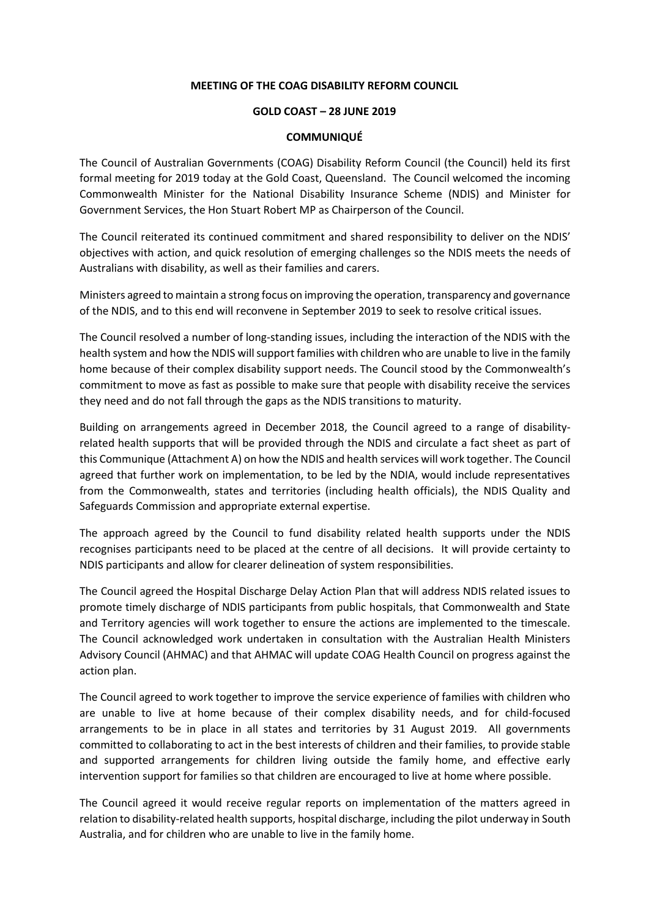## **MEETING OF THE COAG DISABILITY REFORM COUNCIL**

## **GOLD COAST – 28 JUNE 2019**

## **COMMUNIQUÉ**

The Council of Australian Governments (COAG) Disability Reform Council (the Council) held its first formal meeting for 2019 today at the Gold Coast, Queensland. The Council welcomed the incoming Commonwealth Minister for the National Disability Insurance Scheme (NDIS) and Minister for Government Services, the Hon Stuart Robert MP as Chairperson of the Council.

The Council reiterated its continued commitment and shared responsibility to deliver on the NDIS' objectives with action, and quick resolution of emerging challenges so the NDIS meets the needs of Australians with disability, as well as their families and carers.

Ministers agreed to maintain a strong focus on improving the operation, transparency and governance of the NDIS, and to this end will reconvene in September 2019 to seek to resolve critical issues.

The Council resolved a number of long-standing issues, including the interaction of the NDIS with the health system and how the NDIS will support families with children who are unable to live in the family home because of their complex disability support needs. The Council stood by the Commonwealth's commitment to move as fast as possible to make sure that people with disability receive the services they need and do not fall through the gaps as the NDIS transitions to maturity.

Building on arrangements agreed in December 2018, the Council agreed to a range of disabilityrelated health supports that will be provided through the NDIS and circulate a fact sheet as part of this Communique (Attachment A) on how the NDIS and health services will work together. The Council agreed that further work on implementation, to be led by the NDIA, would include representatives from the Commonwealth, states and territories (including health officials), the NDIS Quality and Safeguards Commission and appropriate external expertise.

The approach agreed by the Council to fund disability related health supports under the NDIS recognises participants need to be placed at the centre of all decisions. It will provide certainty to NDIS participants and allow for clearer delineation of system responsibilities.

The Council agreed the Hospital Discharge Delay Action Plan that will address NDIS related issues to promote timely discharge of NDIS participants from public hospitals, that Commonwealth and State and Territory agencies will work together to ensure the actions are implemented to the timescale. The Council acknowledged work undertaken in consultation with the Australian Health Ministers Advisory Council (AHMAC) and that AHMAC will update COAG Health Council on progress against the action plan.

The Council agreed to work together to improve the service experience of families with children who are unable to live at home because of their complex disability needs, and for child-focused arrangements to be in place in all states and territories by 31 August 2019. All governments committed to collaborating to act in the best interests of children and their families, to provide stable and supported arrangements for children living outside the family home, and effective early intervention support for families so that children are encouraged to live at home where possible.

The Council agreed it would receive regular reports on implementation of the matters agreed in relation to disability-related health supports, hospital discharge, including the pilot underway in South Australia, and for children who are unable to live in the family home.